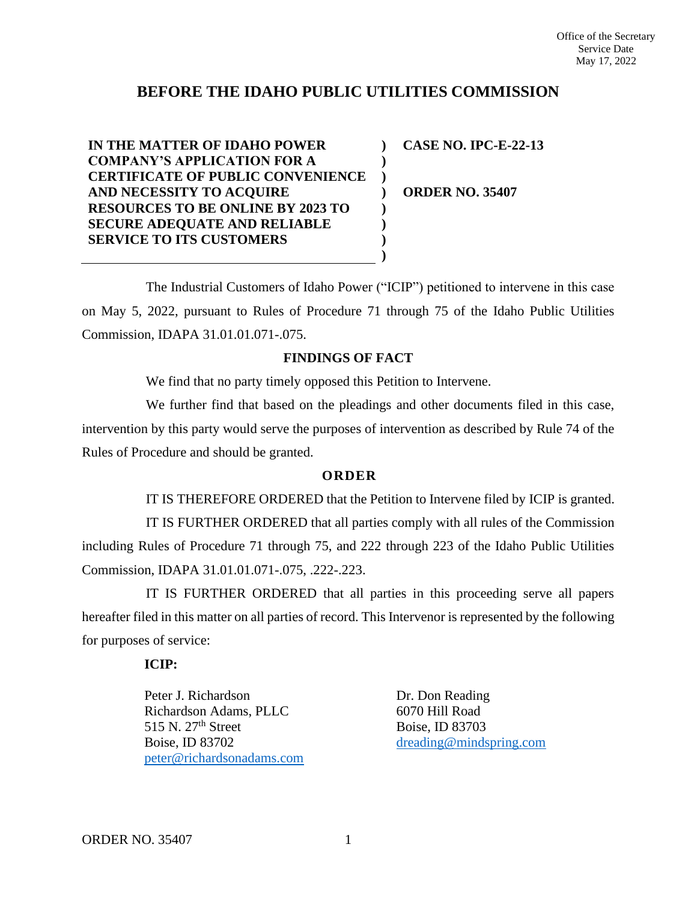## **BEFORE THE IDAHO PUBLIC UTILITIES COMMISSION**

**IN THE MATTER OF IDAHO POWER COMPANY'S APPLICATION FOR A CERTIFICATE OF PUBLIC CONVENIENCE AND NECESSITY TO ACQUIRE RESOURCES TO BE ONLINE BY 2023 TO SECURE ADEQUATE AND RELIABLE SERVICE TO ITS CUSTOMERS ) ) ) ) ) ) )**

**CASE NO. IPC-E-22-13**

**ORDER NO. 35407**

The Industrial Customers of Idaho Power ("ICIP") petitioned to intervene in this case on May 5, 2022, pursuant to Rules of Procedure 71 through 75 of the Idaho Public Utilities Commission, IDAPA 31.01.01.071-.075.

**)**

## **FINDINGS OF FACT**

We find that no party timely opposed this Petition to Intervene.

We further find that based on the pleadings and other documents filed in this case, intervention by this party would serve the purposes of intervention as described by Rule 74 of the Rules of Procedure and should be granted.

## **O R D E R**

IT IS THEREFORE ORDERED that the Petition to Intervene filed by ICIP is granted. IT IS FURTHER ORDERED that all parties comply with all rules of the Commission including Rules of Procedure 71 through 75, and 222 through 223 of the Idaho Public Utilities Commission, IDAPA 31.01.01.071-.075, .222-.223.

IT IS FURTHER ORDERED that all parties in this proceeding serve all papers hereafter filed in this matter on all parties of record. This Intervenor is represented by the following for purposes of service:

## **ICIP:**

Peter J. Richardson Richardson Adams, PLLC 515 N.  $27<sup>th</sup>$  Street Boise, ID 83702 [peter@richardsonadams.com](mailto:peter@richardsonadams.com) Dr. Don Reading 6070 Hill Road Boise, ID 83703 [dreading@mindspring.com](mailto:dreading@mindspring.com)